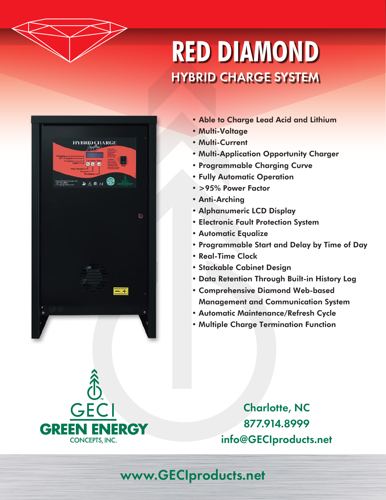

## **RED DIAMOND** HYBRID CHARGE SYSTEM



- Able to Charge Lead Acid and Lithium
- Multi-Voltage
- Multi-Current
- Multi-Application Opportunity Charger
- Programmable Charging Curve
- Fully Automatic Operation
- >95% Power Factor
- Anti-Arching
- Alphanumeric LCD Display
- Electronic Fault Protection System
- Automatic Equalize
- Programmable Start and Delay by Time of Day
- Real-Time Clock
- Stackable Cabinet Design
- Data Retention Through Built-in History Log
- Comprehensive Diamond Web-based Management and Communication System
- Automatic Maintenance/Refresh Cycle
- Multiple Charge Termination Function

GECI **GREEN ENERGY CONCEPTS, INC.** 

Charlotte, NC 877.914.8999 info@GECIproducts.net

## www.GECIproducts.net